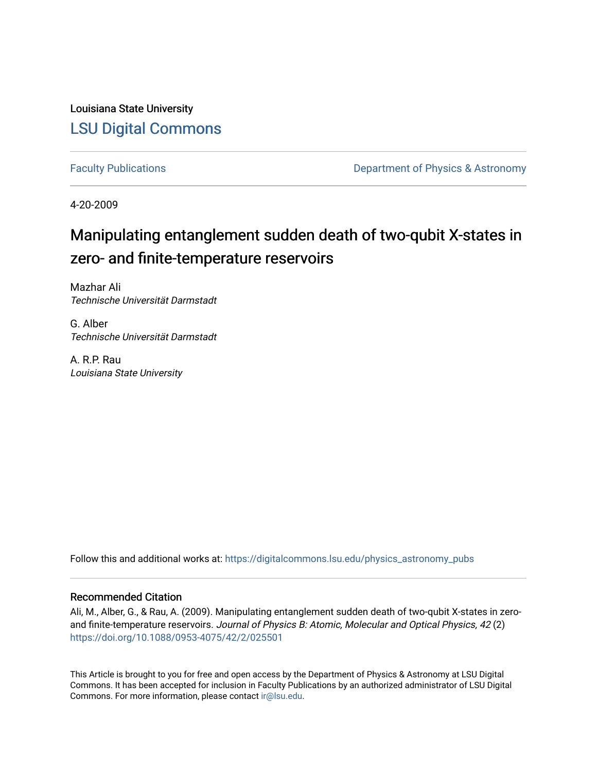Louisiana State University [LSU Digital Commons](https://digitalcommons.lsu.edu/)

[Faculty Publications](https://digitalcommons.lsu.edu/physics_astronomy_pubs) **Exercise 2 and Table 2 and Table 2 and Table 2 and Table 2 and Table 2 and Table 2 and Table 2 and Table 2 and Table 2 and Table 2 and Table 2 and Table 2 and Table 2 and Table 2 and Table 2 and Table** 

4-20-2009

# Manipulating entanglement sudden death of two-qubit X-states in zero- and finite-temperature reservoirs

Mazhar Ali Technische Universität Darmstadt

G. Alber Technische Universität Darmstadt

A. R.P. Rau Louisiana State University

Follow this and additional works at: [https://digitalcommons.lsu.edu/physics\\_astronomy\\_pubs](https://digitalcommons.lsu.edu/physics_astronomy_pubs?utm_source=digitalcommons.lsu.edu%2Fphysics_astronomy_pubs%2F4508&utm_medium=PDF&utm_campaign=PDFCoverPages) 

# Recommended Citation

Ali, M., Alber, G., & Rau, A. (2009). Manipulating entanglement sudden death of two-qubit X-states in zeroand finite-temperature reservoirs. Journal of Physics B: Atomic, Molecular and Optical Physics, 42 (2) <https://doi.org/10.1088/0953-4075/42/2/025501>

This Article is brought to you for free and open access by the Department of Physics & Astronomy at LSU Digital Commons. It has been accepted for inclusion in Faculty Publications by an authorized administrator of LSU Digital Commons. For more information, please contact [ir@lsu.edu](mailto:ir@lsu.edu).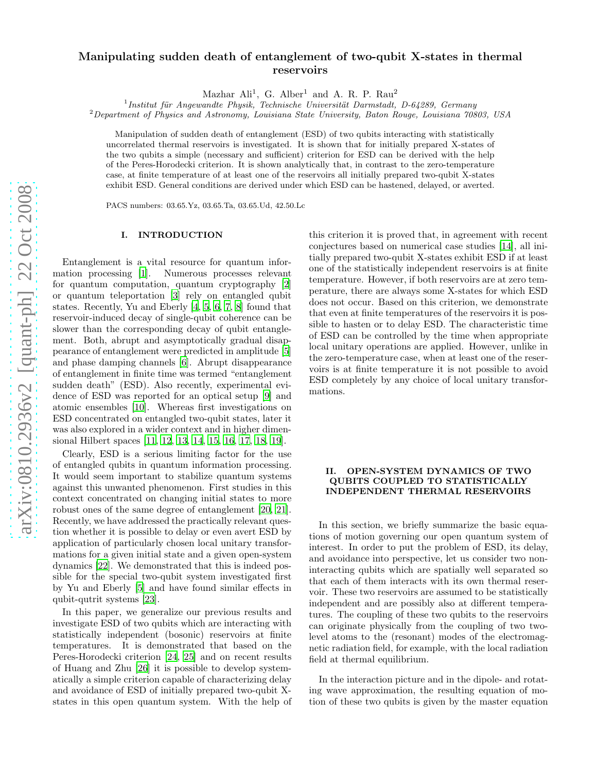## Manipulating sudden death of entanglement of two-qubit X-states in thermal reservoirs

Mazhar Ali<sup>1</sup>, G. Alber<sup>1</sup> and A. R. P. Rau<sup>2</sup>

 $^{1}$ Institut für Angewandte Physik, Technische Universität Darmstadt, D-64289, Germany

 ${}^{2}$ Department of Physics and Astronomy, Louisiana State University, Baton Rouge, Louisiana 70803, USA

Manipulation of sudden death of entanglement (ESD) of two qubits interacting with statistically uncorrelated thermal reservoirs is investigated. It is shown that for initially prepared X-states of the two qubits a simple (necessary and sufficient) criterion for ESD can be derived with the help of the Peres-Horodecki criterion. It is shown analytically that, in contrast to the zero-temperature case, at finite temperature of at least one of the reservoirs all initially prepared two-qubit X-states exhibit ESD. General conditions are derived under which ESD can be hastened, delayed, or averted.

PACS numbers: 03.65.Yz, 03.65.Ta, 03.65.Ud, 42.50.Lc

### I. INTRODUCTION

Entanglement is a vital resource for quantum information processing [\[1\]](#page-8-0). Numerous processes relevant for quantum computation, quantum cryptography [\[2](#page-8-1)] or quantum teleportation [\[3](#page-8-2)] rely on entangled qubit states. Recently, Yu and Eberly [\[4](#page-8-3), [5](#page-8-4), [6](#page-8-5), [7](#page-8-6), [8](#page-8-7)] found that reservoir-induced decay of single-qubit coherence can be slower than the corresponding decay of qubit entanglement. Both, abrupt and asymptotically gradual disappearance of entanglement were predicted in amplitude [\[5](#page-8-4)] and phase damping channels [\[6](#page-8-5)]. Abrupt disappearance of entanglement in finite time was termed "entanglement sudden death" (ESD). Also recently, experimental evidence of ESD was reported for an optical setup [\[9](#page-8-8)] and atomic ensembles [\[10\]](#page-8-9). Whereas first investigations on ESD concentrated on entangled two-qubit states, later it was also explored in a wider context and in higher dimensional Hilbert spaces [\[11,](#page-8-10) [12,](#page-8-11) [13,](#page-8-12) [14](#page-8-13), [15](#page-8-14), [16](#page-8-15), [17](#page-8-16), [18](#page-8-17), [19](#page-8-18)].

Clearly, ESD is a serious limiting factor for the use of entangled qubits in quantum information processing. It would seem important to stabilize quantum systems against this unwanted phenomenon. First studies in this context concentrated on changing initial states to more robust ones of the same degree of entanglement [\[20,](#page-8-19) [21\]](#page-8-20). Recently, we have addressed the practically relevant question whether it is possible to delay or even avert ESD by application of particularly chosen local unitary transformations for a given initial state and a given open-system dynamics [\[22\]](#page-8-21). We demonstrated that this is indeed possible for the special two-qubit system investigated first by Yu and Eberly [\[5](#page-8-4)] and have found similar effects in qubit-qutrit systems [\[23\]](#page-8-22).

In this paper, we generalize our previous results and investigate ESD of two qubits which are interacting with statistically independent (bosonic) reservoirs at finite temperatures. It is demonstrated that based on the Peres-Horodecki criterion [\[24,](#page-8-23) [25\]](#page-8-24) and on recent results of Huang and Zhu [\[26\]](#page-8-25) it is possible to develop systematically a simple criterion capable of characterizing delay and avoidance of ESD of initially prepared two-qubit Xstates in this open quantum system. With the help of this criterion it is proved that, in agreement with recent conjectures based on numerical case studies [\[14\]](#page-8-13), all initially prepared two-qubit X-states exhibit ESD if at least one of the statistically independent reservoirs is at finite temperature. However, if both reservoirs are at zero temperature, there are always some X-states for which ESD does not occur. Based on this criterion, we demonstrate that even at finite temperatures of the reservoirs it is possible to hasten or to delay ESD. The characteristic time of ESD can be controlled by the time when appropriate local unitary operations are applied. However, unlike in the zero-temperature case, when at least one of the reservoirs is at finite temperature it is not possible to avoid ESD completely by any choice of local unitary transformations.

#### <span id="page-1-0"></span>II. OPEN-SYSTEM DYNAMICS OF TWO QUBITS COUPLED TO STATISTICALLY INDEPENDENT THERMAL RESERVOIRS

In this section, we briefly summarize the basic equations of motion governing our open quantum system of interest. In order to put the problem of ESD, its delay, and avoidance into perspective, let us consider two noninteracting qubits which are spatially well separated so that each of them interacts with its own thermal reservoir. These two reservoirs are assumed to be statistically independent and are possibly also at different temperatures. The coupling of these two qubits to the reservoirs can originate physically from the coupling of two twolevel atoms to the (resonant) modes of the electromagnetic radiation field, for example, with the local radiation field at thermal equilibrium.

In the interaction picture and in the dipole- and rotating wave approximation, the resulting equation of motion of these two qubits is given by the master equation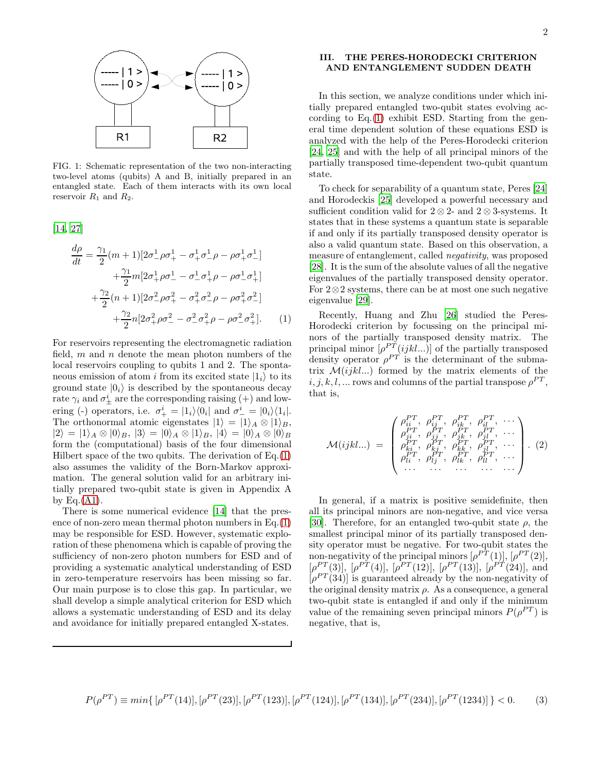

FIG. 1: Schematic representation of the two non-interacting two-level atoms (qubits) A and B, initially prepared in an entangled state. Each of them interacts with its own local reservoir  $R_1$  and  $R_2$ .

[\[14,](#page-8-13) [27\]](#page-8-26)

<span id="page-2-0"></span>
$$
\frac{d\rho}{dt} = \frac{\gamma_1}{2}(m+1)[2\sigma_{-}^{1}\rho\sigma_{+}^{1} - \sigma_{+}^{1}\sigma_{-}^{1}\rho - \rho\sigma_{+}^{1}\sigma_{-}^{1}] \n+ \frac{\gamma_1}{2}m[2\sigma_{+}^{1}\rho\sigma_{-}^{1} - \sigma_{-}^{1}\sigma_{+}^{1}\rho - \rho\sigma_{-}^{1}\sigma_{+}^{1}] \n+ \frac{\gamma_2}{2}(n+1)[2\sigma_{-}^{2}\rho\sigma_{+}^{2} - \sigma_{+}^{2}\sigma_{-}^{2}\rho - \rho\sigma_{+}^{2}\sigma_{-}^{2}] \n+ \frac{\gamma_2}{2}n[2\sigma_{+}^{2}\rho\sigma_{-}^{2} - \sigma_{-}^{2}\sigma_{+}^{2}\rho - \rho\sigma_{-}^{2}\sigma_{+}^{2}].
$$
\n(1)

For reservoirs representing the electromagnetic radiation field,  $m$  and  $n$  denote the mean photon numbers of the local reservoirs coupling to qubits 1 and 2. The spontaneous emission of atom i from its excited state  $|1_i\rangle$  to its ground state  $|0_i\rangle$  is described by the spontaneous decay rate  $\gamma_i$  and  $\sigma^i_{\pm}$  are the corresponding raising  $(+)$  and lowering (-) operators, i.e.  $\sigma^i_+ = |1_i\rangle\langle 0_i|$  and  $\sigma^i_- = |0_i\rangle\langle 1_i|$ . The orthonormal atomic eigenstates  $|1\rangle = |1\rangle_A \otimes |1\rangle_B$ ,  $|2\rangle = |1\rangle_A \otimes |0\rangle_B$ ,  $|3\rangle = |0\rangle_A \otimes |1\rangle_B$ ,  $|4\rangle = |0\rangle_A \otimes |0\rangle_B$ form the (computational) basis of the four dimensional Hilbert space of the two qubits. The derivation of  $Eq.(1)$  $Eq.(1)$ also assumes the validity of the Born-Markov approximation. The general solution valid for an arbitrary initially prepared two-qubit state is given in Appendix A by Eq. $(A1)$ .

There is some numerical evidence [\[14\]](#page-8-13) that the presence of non-zero mean thermal photon numbers in Eq.[\(1\)](#page-2-0) may be responsible for ESD. However, systematic exploration of these phenomena which is capable of proving the sufficiency of non-zero photon numbers for ESD and of providing a systematic analytical understanding of ESD in zero-temperature reservoirs has been missing so far. Our main purpose is to close this gap. In particular, we shall develop a simple analytical criterion for ESD which allows a systematic understanding of ESD and its delay and avoidance for initially prepared entangled X-states.

## III. THE PERES-HORODECKI CRITERION AND ENTANGLEMENT SUDDEN DEATH

In this section, we analyze conditions under which initially prepared entangled two-qubit states evolving according to  $Eq.(1)$  $Eq.(1)$  exhibit ESD. Starting from the general time dependent solution of these equations ESD is analyzed with the help of the Peres-Horodecki criterion [\[24,](#page-8-23) [25](#page-8-24)] and with the help of all principal minors of the partially transposed time-dependent two-qubit quantum state.

To check for separability of a quantum state, Peres [\[24](#page-8-23)] and Horodeckis [\[25](#page-8-24)] developed a powerful necessary and sufficient condition valid for  $2 \otimes 2$ - and  $2 \otimes 3$ -systems. It states that in these systems a quantum state is separable if and only if its partially transposed density operator is also a valid quantum state. Based on this observation, a measure of entanglement, called negativity, was proposed [\[28\]](#page-8-27). It is the sum of the absolute values of all the negative eigenvalues of the partially transposed density operator. For 2⊗2 systems, there can be at most one such negative eigenvalue [\[29](#page-8-28)].

Recently, Huang and Zhu [\[26\]](#page-8-25) studied the Peres-Horodecki criterion by focussing on the principal minors of the partially transposed density matrix. The principal minor  $[\rho^{PT}(ijkl...)]$  of the partially transposed density operator  $\rho^{PT}$  is the determinant of the submatrix  $\mathcal{M}(ijkl...)$  formed by the matrix elements of the  $i, j, k, l, ...$  rows and columns of the partial transpose  $\rho^{PT}$ , that is,

<span id="page-2-1"></span>
$$
\mathcal{M}(ijkl...) = \begin{pmatrix} \rho_{ii}^{PT}, & \rho_{ij}^{PT}, & \rho_{ik}^{PT}, & \rho_{i}^{PT}, & \cdots \\ \rho_{ji}^{PT}, & \rho_{jj}^{PT}, & \rho_{jk}^{PT}, & \rho_{jl}^{PT}, & \cdots \\ \rho_{ki}^{PT}, & \rho_{kj}^{PT}, & \rho_{kk}^{PT}, & \rho_{jl}^{PT}, & \cdots \\ \rho_{ki}^{PT}, & \rho_{kj}^{PT}, & \rho_{kk}^{PT}, & \rho_{jl}^{PT}, & \cdots \\ \cdots & \cdots & \cdots & \cdots & \cdots \end{pmatrix} . (2)
$$

In general, if a matrix is positive semidefinite, then all its principal minors are non-negative, and vice versa [\[30\]](#page-8-29). Therefore, for an entangled two-qubit state  $\rho$ , the smallest principal minor of its partially transposed density operator must be negative. For two-qubit states the non-negativity of the principal minors  $[\rho^{PT}(1)], [\rho^{PT}(2)],$  $[\rho^{PT}(3)], [\rho^{PT}(4)], [\rho^{PT}(12)], [\rho^{PT}(13)], [\rho^{PT}(24)],$  and  $[\rho^{PT}(34)]$  is guaranteed already by the non-negativity of the original density matrix  $\rho$ . As a consequence, a general two-qubit state is entangled if and only if the minimum value of the remaining seven principal minors  $P(\rho^{PT})$  is negative, that is,

$$
P(\rho^{PT}) \equiv min\{ [\rho^{PT}(14)], [\rho^{PT}(23)], [\rho^{PT}(123)], [\rho^{PT}(124)], [\rho^{PT}(134)], [\rho^{PT}(234)], [\rho^{PT}(1234)] \} < 0.
$$
 (3)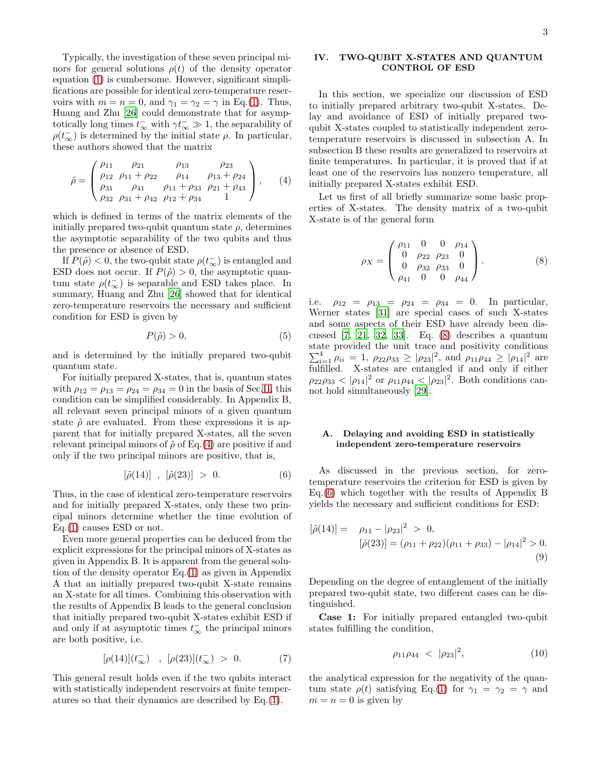Typically, the investigation of these seven principal minors for general solutions  $\rho(t)$  of the density operator equation [\(1\)](#page-2-0) is cumbersome. However, significant simplifications are possible for identical zero-temperature reservoirs with  $m = n = 0$ , and  $\gamma_1 = \gamma_2 = \gamma$  in Eq.[\(1\)](#page-2-0). Thus, Huang and Zhu [\[26](#page-8-25)] could demonstrate that for asymptotically long times  $t_{\infty}^-$  with  $\gamma t_{\infty}^- \gg 1$ , the separability of  $\rho(t_{\infty}^{-})$  is determined by the initial state  $\rho$ . In particular, these authors showed that the matrix

<span id="page-3-0"></span>
$$
\tilde{\rho} = \begin{pmatrix}\n\rho_{11} & \rho_{21} & \rho_{13} & \rho_{23} \\
\rho_{12} & \rho_{11} + \rho_{22} & \rho_{14} & \rho_{13} + \rho_{24} \\
\rho_{31} & \rho_{41} & \rho_{11} + \rho_{33} & \rho_{21} + \rho_{43} \\
\rho_{32} & \rho_{31} + \rho_{42} & \rho_{12} + \rho_{34} & 1\n\end{pmatrix},
$$
\n(4)

which is defined in terms of the matrix elements of the initially prepared two-qubit quantum state  $\rho$ , determines the asymptotic separability of the two qubits and thus the presence or absence of ESD.

If  $P(\tilde{\rho}) < 0$ , the two-qubit state  $\rho(t_{\infty})$  is entangled and ESD does not occur. If  $P(\tilde{\rho}) > 0$ , the asymptotic quantum state  $\rho(t_{\infty}^-)$  is separable and ESD takes place. In summary, Huang and Zhu [\[26](#page-8-25)] showed that for identical zero-temperature reservoirs the necessary and sufficient condition for ESD is given by

$$
P(\tilde{\rho}) > 0,\tag{5}
$$

and is determined by the initially prepared two-qubit quantum state.

For initially prepared X-states, that is, quantum states with  $\rho_{12} = \rho_{13} = \rho_{24} = \rho_{34} = 0$  in the basis of Sec[.II,](#page-1-0) this condition can be simplified considerably. In Appendix B, all relevant seven principal minors of a given quantum state  $\tilde{\rho}$  are evaluated. From these expressions it is apparent that for initially prepared X-states, all the seven relevant principal minors of  $\tilde{\rho}$  of Eq.[\(4\)](#page-3-0) are positive if and only if the two principal minors are positive, that is,

<span id="page-3-2"></span>
$$
[\tilde{\rho}(14)] \;\; , \;\; [\tilde{\rho}(23)] \; > \; 0. \eqno(6)
$$

Thus, in the case of identical zero-temperature reservoirs and for initially prepared X-states, only these two principal minors determine whether the time evolution of Eq.[\(1\)](#page-2-0) causes ESD or not.

Even more general properties can be deduced from the explicit expressions for the principal minors of X-states as given in Appendix B. It is apparent from the general solution of the density operator Eq.[\(1\)](#page-2-0) as given in Appendix A that an initially prepared two-qubit X-state remains an X-state for all times. Combining this observation with the results of Appendix B leads to the general conclusion that initially prepared two-qubit X-states exhibit ESD if and only if at asymptotic times  $t_\infty^-$  the principal minors are both positive, i.e.

$$
[\rho(14)](t_{\infty}^-) \quad , \ \ [\rho(23)](t_{\infty}^-) \ > \ 0. \eqno(7)
$$

This general result holds even if the two qubits interact with statistically independent reservoirs at finite temperatures so that their dynamics are described by Eq.[\(1\)](#page-2-0).

#### IV. TWO-QUBIT X-STATES AND QUANTUM CONTROL OF ESD

In this section, we specialize our discussion of ESD to initially prepared arbitrary two-qubit X-states. Delay and avoidance of ESD of initially prepared twoqubit X-states coupled to statistically independent zerotemperature reservoirs is discussed in subsection A. In subsection B these results are generalized to reservoirs at finite temperatures. In particular, it is proved that if at least one of the reservoirs has nonzero temperature, all initially prepared X-states exhibit ESD.

Let us first of all briefly summarize some basic properties of X-states. The density matrix of a two-qubit X-state is of the general form

<span id="page-3-1"></span>
$$
\rho_X = \begin{pmatrix} \rho_{11} & 0 & 0 & \rho_{14} \\ 0 & \rho_{22} & \rho_{23} & 0 \\ 0 & \rho_{32} & \rho_{33} & 0 \\ \rho_{41} & 0 & 0 & \rho_{44} \end{pmatrix} . \tag{8}
$$

i.e.  $\rho_{12} = \rho_{13} = \rho_{24} = \rho_{34} = 0$ . In particular, Werner states [\[31\]](#page-8-30) are special cases of such X-states and some aspects of their ESD have already been discussed [\[7,](#page-8-6) [21,](#page-8-20) [32](#page-8-31), [33\]](#page-8-32). Eq. [\(8\)](#page-3-1) describes a quantum state provided the unit trace and positivity conditions  $\sum_{i=1}^{4} \rho_{ii} = 1$ ,  $\rho_{22}\rho_{33} \geq |\rho_{23}|^2$ , and  $\rho_{11}\rho_{44} \geq |\rho_{14}|^2$  are  $\overline{f}$ ulfilled. X-states are entangled if and only if either  $\rho_{22}\rho_{33} < |\rho_{14}|^2$  or  $\rho_{11}\rho_{44} < |\rho_{23}|^2$ . Both conditions cannot hold simultaneously [\[29](#page-8-28)].

### A. Delaying and avoiding ESD in statistically independent zero-temperature reservoirs

As discussed in the previous section, for zerotemperature reservoirs the criterion for ESD is given by Eq.[\(6\)](#page-3-2) which together with the results of Appendix B yields the necessary and sufficient conditions for ESD:

<span id="page-3-4"></span>
$$
[\tilde{\rho}(14)] = \rho_{11} - |\rho_{23}|^2 > 0,
$$
  
\n
$$
[\tilde{\rho}(23)] = (\rho_{11} + \rho_{22})(\rho_{11} + \rho_{33}) - |\rho_{14}|^2 > 0.
$$
\n(9)

Depending on the degree of entanglement of the initially prepared two-qubit state, two different cases can be distinguished.

Case 1: For initially prepared entangled two-qubit states fulfilling the condition,

<span id="page-3-3"></span>
$$
\rho_{11}\rho_{44} \, < \, |\rho_{23}|^2,\tag{10}
$$

the analytical expression for the negativity of the quantum state  $\rho(t)$  satisfying Eq.[\(1\)](#page-2-0) for  $\gamma_1 = \gamma_2 = \gamma$  and  $m = n = 0$  is given by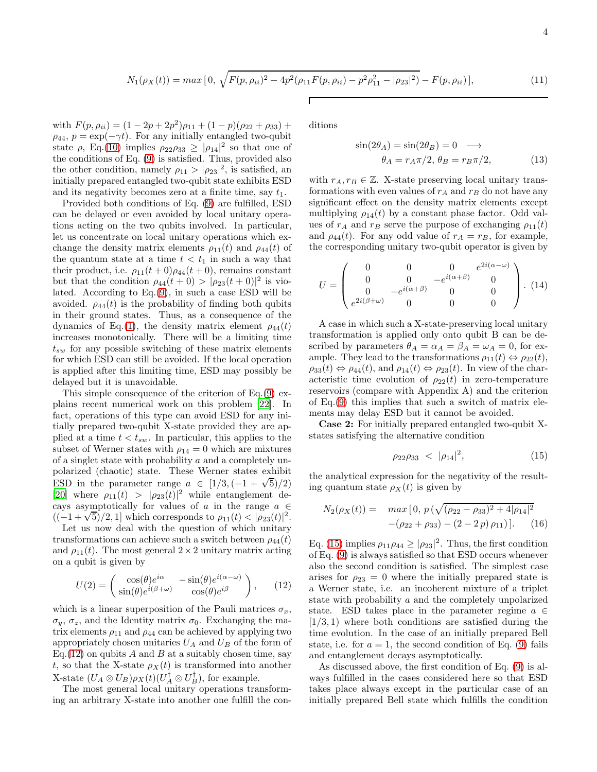$$
N_1(\rho_X(t)) = \max\left[0, \sqrt{F(p, \rho_{ii})^2 - 4p^2(\rho_{11}F(p, \rho_{ii}) - p^2\rho_{11}^2 - |\rho_{23}|^2)} - F(p, \rho_{ii})\right],\tag{11}
$$

with  $F(p, \rho_{ii}) = (1 - 2p + 2p^2)\rho_{11} + (1 - p)(\rho_{22} + \rho_{33}) +$  $\rho_{44}, p = \exp(-\gamma t)$ . For any initially entangled two-qubit state  $\rho$ , Eq.[\(10\)](#page-3-3) implies  $\rho_{22}\rho_{33} \geq |\rho_{14}|^2$  so that one of the conditions of Eq. [\(9\)](#page-3-4) is satisfied. Thus, provided also the other condition, namely  $\rho_{11} > |\rho_{23}|^2$ , is satisfied, an initially prepared entangled two-qubit state exhibits ESD and its negativity becomes zero at a finite time, say  $t_1$ .

Provided both conditions of Eq. [\(9\)](#page-3-4) are fulfilled, ESD can be delayed or even avoided by local unitary operations acting on the two qubits involved. In particular, let us concentrate on local unitary operations which exchange the density matrix elements  $\rho_{11}(t)$  and  $\rho_{44}(t)$  of the quantum state at a time  $t < t_1$  in such a way that their product, i.e.  $\rho_{11}(t+0)\rho_{44}(t+0)$ , remains constant but that the condition  $\rho_{44}(t+0) > |\rho_{23}(t+0)|^2$  is violated. According to Eq.[\(9\)](#page-3-4), in such a case ESD will be avoided.  $\rho_{44}(t)$  is the probability of finding both qubits in their ground states. Thus, as a consequence of the dynamics of Eq.[\(1\)](#page-2-0), the density matrix element  $\rho_{44}(t)$ increases monotonically. There will be a limiting time  $t_{sw}$  for any possible switching of these matrix elements for which ESD can still be avoided. If the local operation is applied after this limiting time, ESD may possibly be delayed but it is unavoidable.

This simple consequence of the criterion of Eq.[\(9\)](#page-3-4) explains recent numerical work on this problem [\[22](#page-8-21)]. In fact, operations of this type can avoid ESD for any initially prepared two-qubit X-state provided they are applied at a time  $t < t_{sw}$ . In particular, this applies to the subset of Werner states with  $\rho_{14} = 0$  which are mixtures of a singlet state with probability a and a completely unpolarized (chaotic) state. These Werner states exhibit ESD in the parameter range  $a \in [1/3, (-1 + \sqrt{5})/2)$ [\[20\]](#page-8-19) where  $\rho_{11}(t) > |\rho_{23}(t)|^2$  while entanglement decays asymptotically for values of a in the range  $a \in$  $((-1+\sqrt{5})/2, 1]$  which corresponds to  $\rho_{11}(t) < |\rho_{23}(t)|^2$ .

Let us now deal with the question of which unitary transformations can achieve such a switch between  $\rho_{44}(t)$ and  $\rho_{11}(t)$ . The most general  $2 \times 2$  unitary matrix acting on a qubit is given by

<span id="page-4-0"></span>
$$
U(2) = \begin{pmatrix} \cos(\theta)e^{i\alpha} & -\sin(\theta)e^{i(\alpha-\omega)} \\ \sin(\theta)e^{i(\beta+\omega)} & \cos(\theta)e^{i\beta} \end{pmatrix}, \qquad (12)
$$

which is a linear superposition of the Pauli matrices  $\sigma_x$ ,  $\sigma_y$ ,  $\sigma_z$ , and the Identity matrix  $\sigma_0$ . Exchanging the matrix elements  $\rho_{11}$  and  $\rho_{44}$  can be achieved by applying two appropriately chosen unitaries  $U_A$  and  $U_B$  of the form of Eq.  $(12)$  on qubits A and B at a suitably chosen time, say t, so that the X-state  $\rho_X(t)$  is transformed into another X-state  $(U_A \otimes U_B)\rho_X(t)(U_A^{\dagger} \otimes U_B^{\dagger})$ , for example.

The most general local unitary operations transforming an arbitrary X-state into another one fulfill the conditions

$$
\sin(2\theta_A) = \sin(2\theta_B) = 0 \longrightarrow
$$
  
\n
$$
\theta_A = r_A \pi/2, \theta_B = r_B \pi/2,
$$
\n(13)

with  $r_A, r_B \in \mathbb{Z}$ . X-state preserving local unitary transformations with even values of  $r_A$  and  $r_B$  do not have any significant effect on the density matrix elements except multiplying  $\rho_{14}(t)$  by a constant phase factor. Odd values of  $r_A$  and  $r_B$  serve the purpose of exchanging  $\rho_{11}(t)$ and  $\rho_{44}(t)$ . For any odd value of  $r_A = r_B$ , for example, the corresponding unitary two-qubit operator is given by

$$
U = \begin{pmatrix} 0 & 0 & 0 & e^{2i(\alpha - \omega)} \\ 0 & 0 & -e^{i(\alpha + \beta)} & 0 \\ 0 & -e^{i(\alpha + \beta)} & 0 & 0 \\ e^{2i(\beta + \omega)} & 0 & 0 & 0 \end{pmatrix} . (14)
$$

A case in which such a X-state-preserving local unitary transformation is applied only onto qubit B can be described by parameters  $\theta_A = \alpha_A = \beta_A = \omega_A = 0$ , for example. They lead to the transformations  $\rho_{11}(t) \Leftrightarrow \rho_{22}(t)$ ,  $\rho_{33}(t) \Leftrightarrow \rho_{44}(t)$ , and  $\rho_{14}(t) \Leftrightarrow \rho_{23}(t)$ . In view of the characteristic time evolution of  $\rho_{22}(t)$  in zero-temperature reservoirs (compare with Appendix A) and the criterion of Eq.[\(9\)](#page-3-4) this implies that such a switch of matrix elements may delay ESD but it cannot be avoided.

Case 2: For initially prepared entangled two-qubit Xstates satisfying the alternative condition

<span id="page-4-1"></span>
$$
\rho_{22}\rho_{33} \, < \, |\rho_{14}|^2,\tag{15}
$$

the analytical expression for the negativity of the resulting quantum state  $\rho_X(t)$  is given by

$$
N_2(\rho_X(t)) = \max[0, p(\sqrt{(\rho_{22} - \rho_{33})^2 + 4|\rho_{14}|^2} - (\rho_{22} + \rho_{33}) - (2 - 2p)\rho_{11})].
$$
 (16)

Eq. [\(15\)](#page-4-1) implies  $\rho_{11}\rho_{44} \ge |\rho_{23}|^2$ . Thus, the first condition of Eq. [\(9\)](#page-3-4) is always satisfied so that ESD occurs whenever also the second condition is satisfied. The simplest case arises for  $\rho_{23} = 0$  where the initially prepared state is a Werner state, i.e. an incoherent mixture of a triplet state with probability a and the completely unpolarized state. ESD takes place in the parameter regime  $a \in$  $[1/3, 1)$  where both conditions are satisfied during the time evolution. In the case of an initially prepared Bell state, i.e. for  $a = 1$ , the second condition of Eq. [\(9\)](#page-3-4) fails and entanglement decays asymptotically.

As discussed above, the first condition of Eq. [\(9\)](#page-3-4) is always fulfilled in the cases considered here so that ESD takes place always except in the particular case of an initially prepared Bell state which fulfills the condition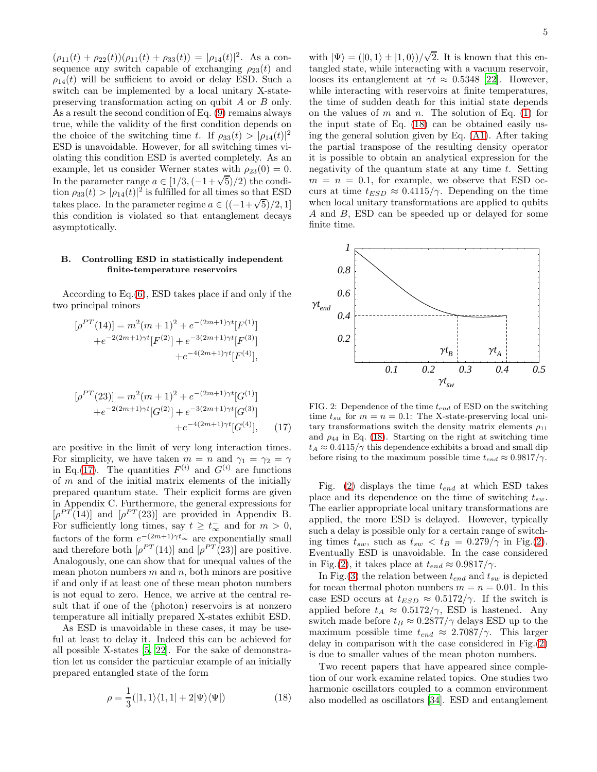$(\rho_{11}(t) + \rho_{22}(t))(\rho_{11}(t) + \rho_{33}(t)) = |\rho_{14}(t)|^2$ . As a consequence any switch capable of exchanging  $\rho_{23}(t)$  and  $\rho_{14}(t)$  will be sufficient to avoid or delay ESD. Such a switch can be implemented by a local unitary X-statepreserving transformation acting on qubit A or B only. As a result the second condition of Eq. [\(9\)](#page-3-4) remains always true, while the validity of the first condition depends on the choice of the switching time t. If  $\rho_{33}(t) > |\rho_{14}(t)|^2$ ESD is unavoidable. However, for all switching times violating this condition ESD is averted completely. As an example, let us consider Werner states with  $\rho_{23}(0) = 0$ . In the parameter range  $a \in [1/3, (-1+\sqrt{5})/2)$  the condition  $\rho_{33}(t) > |\rho_{14}(t)|^2$  is fulfilled for all times so that ESD takes place. In the parameter regime  $a \in ((-1+\sqrt{5})/2, 1]$ this condition is violated so that entanglement decays asymptotically.

#### B. Controlling ESD in statistically independent finite-temperature reservoirs

According to Eq.[\(6\)](#page-3-2), ESD takes place if and only if the two principal minors

$$
[\rho^{PT}(14)] = m^{2}(m+1)^{2} + e^{-(2m+1)\gamma t} [F^{(1)}] + e^{-2(2m+1)\gamma t} [F^{(2)}] + e^{-3(2m+1)\gamma t} [F^{(3)}] + e^{-4(2m+1)\gamma t} [F^{(4)}],
$$

<span id="page-5-0"></span>
$$
[\rho^{PT}(23)] = m^2(m+1)^2 + e^{-(2m+1)\gamma t} [G^{(1)}] +e^{-2(2m+1)\gamma t} [G^{(2)}] + e^{-3(2m+1)\gamma t} [G^{(3)}] +e^{-4(2m+1)\gamma t} [G^{(4)}],
$$
(17)

are positive in the limit of very long interaction times. For simplicity, we have taken  $m = n$  and  $\gamma_1 = \gamma_2 = \gamma$ in Eq.[\(17\)](#page-5-0). The quantities  $F^{(i)}$  and  $G^{(i)}$  are functions of  $m$  and of the initial matrix elements of the initially prepared quantum state. Their explicit forms are given in Appendix C. Furthermore, the general expressions for  $[\rho^{PT}(14)]$  and  $[\rho^{PT}(23)]$  are provided in Appendix B. For sufficiently long times, say  $t \geq t_{\infty}^-$  and for  $m > 0$ , factors of the form  $e^{-(2m+1)\gamma t_{\infty}^{-}}$  are exponentially small and therefore both  $[\rho^{PT}(14)]$  and  $[\rho^{PT}(23)]$  are positive. Analogously, one can show that for unequal values of the mean photon numbers  $m$  and  $n$ , both minors are positive if and only if at least one of these mean photon numbers is not equal to zero. Hence, we arrive at the central result that if one of the (photon) reservoirs is at nonzero temperature all initially prepared X-states exhibit ESD.

As ESD is unavoidable in these cases, it may be useful at least to delay it. Indeed this can be achieved for all possible X-states [\[5](#page-8-4), [22\]](#page-8-21). For the sake of demonstration let us consider the particular example of an initially prepared entangled state of the form

<span id="page-5-1"></span>
$$
\rho = \frac{1}{3}(|1,1\rangle\langle1,1| + 2|\Psi\rangle\langle\Psi|)
$$
\n(18)

with  $|\Psi\rangle = (|0,1\rangle \pm |1,0\rangle)/\sqrt{2}$ . It is known that this entangled state, while interacting with a vacuum reservoir, looses its entanglement at  $\gamma t \approx 0.5348$  [\[22](#page-8-21)]. However, while interacting with reservoirs at finite temperatures, the time of sudden death for this initial state depends on the values of  $m$  and  $n$ . The solution of Eq. [\(1\)](#page-2-0) for the input state of Eq. [\(18\)](#page-5-1) can be obtained easily using the general solution given by Eq. [\(A1\)](#page-6-0). After taking the partial transpose of the resulting density operator it is possible to obtain an analytical expression for the negativity of the quantum state at any time  $t$ . Setting  $m = n = 0.1$ , for example, we observe that ESD occurs at time  $t_{ESD} \approx 0.4115/\gamma$ . Depending on the time when local unitary transformations are applied to qubits A and B, ESD can be speeded up or delayed for some finite time.



<span id="page-5-2"></span>FIG. 2: Dependence of the time  $t_{end}$  of ESD on the switching time  $t_{sw}$  for  $m = n = 0.1$ : The X-state-preserving local unitary transformations switch the density matrix elements  $\rho_{11}$ and  $\rho_{44}$  in Eq. [\(18\)](#page-5-1). Starting on the right at switching time  $t_A \approx 0.4115/\gamma$  this dependence exhibits a broad and small dip before rising to the maximum possible time  $t_{end} \approx 0.9817/\gamma$ .

Fig. [\(2\)](#page-5-2) displays the time  $t_{end}$  at which ESD takes place and its dependence on the time of switching  $t_{sw}$ . The earlier appropriate local unitary transformations are applied, the more ESD is delayed. However, typically such a delay is possible only for a certain range of switching times  $t_{sw}$ , such as  $t_{sw} < t_B = 0.279/\gamma$  in Fig.[\(2\)](#page-5-2). Eventually ESD is unavoidable. In the case considered in Fig.[\(2\)](#page-5-2), it takes place at  $t_{end} \approx 0.9817/\gamma$ .

In Fig.[\(3\)](#page-6-1) the relation between  $t_{end}$  and  $t_{sw}$  is depicted for mean thermal photon numbers  $m = n = 0.01$ . In this case ESD occurs at  $t_{ESD} \approx 0.5172/\gamma$ . If the switch is applied before  $t_A \approx 0.5172/\gamma$ , ESD is hastened. Any switch made before  $t_B \approx 0.2877/\gamma$  delays ESD up to the maximum possible time  $t_{end} \approx 2.7087/\gamma$ . This larger delay in comparison with the case considered in Fig.[\(2\)](#page-5-2) is due to smaller values of the mean photon numbers.

Two recent papers that have appeared since completion of our work examine related topics. One studies two harmonic oscillators coupled to a common environment also modelled as oscillators [\[34](#page-8-33)]. ESD and entanglement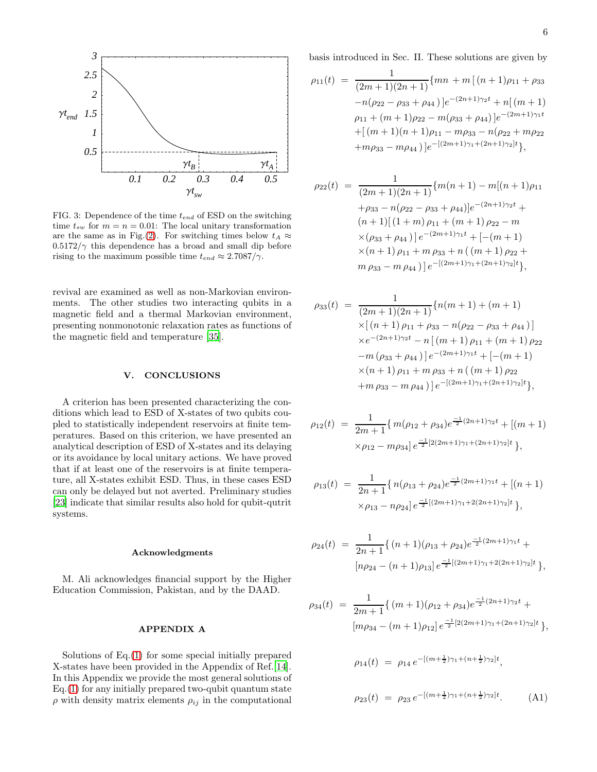

<span id="page-6-1"></span>FIG. 3: Dependence of the time  $t_{end}$  of ESD on the switching time  $t_{sw}$  for  $m = n = 0.01$ : The local unitary transformation are the same as in Fig.[\(2\)](#page-5-2). For switching times below  $t_A \approx$  $0.5172/\gamma$  this dependence has a broad and small dip before rising to the maximum possible time  $t_{end} \approx 2.7087/\gamma$ .

revival are examined as well as non-Markovian environments. The other studies two interacting qubits in a magnetic field and a thermal Markovian environment, presenting nonmonotonic relaxation rates as functions of the magnetic field and temperature [\[35](#page-8-34)].

#### V. CONCLUSIONS

A criterion has been presented characterizing the conditions which lead to ESD of X-states of two qubits coupled to statistically independent reservoirs at finite temperatures. Based on this criterion, we have presented an analytical description of ESD of X-states and its delaying or its avoidance by local unitary actions. We have proved that if at least one of the reservoirs is at finite temperature, all X-states exhibit ESD. Thus, in these cases ESD can only be delayed but not averted. Preliminary studies [\[23\]](#page-8-22) indicate that similar results also hold for qubit-qutrit systems.

#### Acknowledgments

M. Ali acknowledges financial support by the Higher Education Commission, Pakistan, and by the DAAD.

#### APPENDIX A

Solutions of Eq.[\(1\)](#page-2-0) for some special initially prepared X-states have been provided in the Appendix of Ref.[\[14\]](#page-8-13). In this Appendix we provide the most general solutions of Eq.[\(1\)](#page-2-0) for any initially prepared two-qubit quantum state  $\rho$  with density matrix elements  $\rho_{ij}$  in the computational

basis introduced in Sec. II. These solutions are given by

$$
\rho_{11}(t) = \frac{1}{(2m+1)(2n+1)} \{mn + m[(n+1)\rho_{11} + \rho_{33} -n(\rho_{22} - \rho_{33} + \rho_{44})]e^{-(2n+1)\gamma_2 t} + n[(m+1)\rho_{11} + (m+1)\rho_{22} - m(\rho_{33} + \rho_{44})]e^{-(2m+1)\gamma_1 t} + [(m+1)(n+1)\rho_{11} - m\rho_{33} - n(\rho_{22} + m\rho_{22} + m\rho_{33} - m\rho_{44})]e^{-[(2m+1)\gamma_1 + (2n+1)\gamma_2]t}\},
$$

$$
\rho_{22}(t) = \frac{1}{(2m+1)(2n+1)} \{m(n+1) - m[(n+1)\rho_{11} + \rho_{33} - n(\rho_{22} - \rho_{33} + \rho_{44})]e^{-(2n+1)\gamma_2 t} +
$$
  
\n
$$
(n+1)[(1+m)\rho_{11} + (m+1)\rho_{22} - m
$$
  
\n
$$
\times (\rho_{33} + \rho_{44})]e^{-(2m+1)\gamma_1 t} + [-(m+1)
$$
  
\n
$$
\times (n+1)\rho_{11} + m \rho_{33} + n((m+1)\rho_{22} + m \rho_{33} - m \rho_{44})]e^{-[(2m+1)\gamma_1 + (2n+1)\gamma_2]t} \},
$$

$$
\rho_{33}(t) = \frac{1}{(2m+1)(2n+1)} \{n(m+1) + (m+1) \times [(n+1)\rho_{11} + \rho_{33} - n(\rho_{22} - \rho_{33} + \rho_{44})] \times e^{-(2n+1)\gamma_2 t} - n [(m+1)\rho_{11} + (m+1)\rho_{22} - m(\rho_{33} + \rho_{44})] e^{-(2m+1)\gamma_1 t} + [-(m+1) \times (n+1)\rho_{11} + m \rho_{33} + n((m+1)\rho_{22} + m \rho_{33} - m \rho_{44})] e^{-[(2m+1)\gamma_1 + (2n+1)\gamma_2]t} \},
$$

$$
\rho_{12}(t) = \frac{1}{2m+1} \{ m(\rho_{12} + \rho_{34}) e^{\frac{-1}{2}(2n+1)\gamma_2 t} + [(m+1) \times \rho_{12} - m\rho_{34}] e^{\frac{-1}{2}[2(2m+1)\gamma_1 + (2n+1)\gamma_2]t} \},
$$

$$
\rho_{13}(t) = \frac{1}{2n+1} \{ n(\rho_{13} + \rho_{24}) e^{\frac{-1}{2}(2m+1)\gamma_1 t} + [(n+1) \times \rho_{13} - n\rho_{24}] e^{\frac{-1}{2}[(2m+1)\gamma_1 + 2(2n+1)\gamma_2]t} \},
$$

$$
\rho_{24}(t) = \frac{1}{2n+1} \{ (n+1)(\rho_{13} + \rho_{24}) e^{\frac{-1}{2}(2m+1)\gamma_1 t} +
$$

$$
[n\rho_{24} - (n+1)\rho_{13}] e^{\frac{-1}{2}[(2m+1)\gamma_1 + 2(2n+1)\gamma_2]t} \},
$$

$$
\rho_{34}(t) = \frac{1}{2m+1} \{ (m+1)(\rho_{12} + \rho_{34})e^{\frac{-1}{2}(2n+1)\gamma_2 t} +
$$

$$
[m\rho_{34} - (m+1)\rho_{12}]e^{\frac{-1}{2}[2(2m+1)\gamma_1 + (2n+1)\gamma_2]t} \},
$$

<span id="page-6-0"></span>
$$
\rho_{14}(t) = \rho_{14} e^{-[(m+\frac{1}{2})\gamma_1 + (n+\frac{1}{2})\gamma_2]t},
$$
  

$$
\rho_{23}(t) = \rho_{23} e^{-[(m+\frac{1}{2})\gamma_1 + (n+\frac{1}{2})\gamma_2]t}.
$$
 (A1)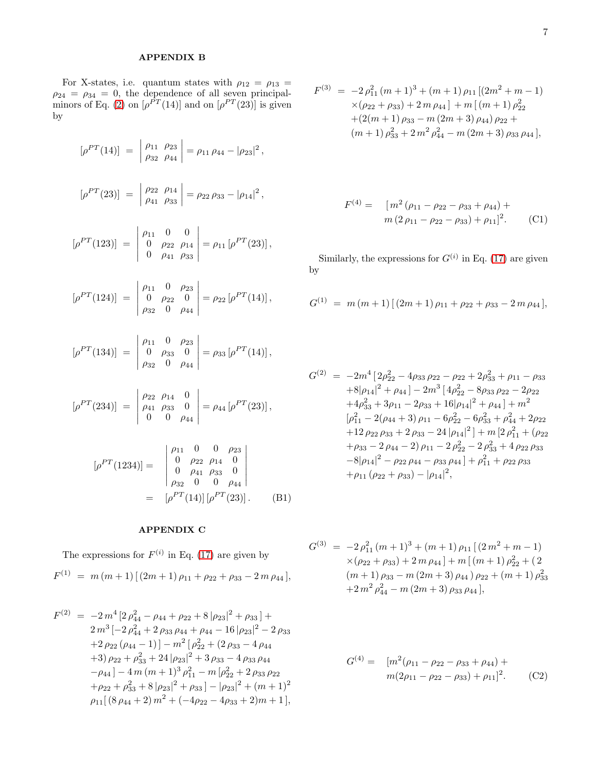## APPENDIX B

For X-states, i.e. quantum states with  $\rho_{12} = \rho_{13}$  =  $\rho_{24} = \rho_{34} = 0$ , the dependence of all seven principal-minors of Eq. [\(2\)](#page-2-1) on  $[\rho^{PT}(14)]$  and on  $[\rho^{PT}(23)]$  is given by

$$
[\rho^{PT}(14)] = \begin{vmatrix} \rho_{11} & \rho_{23} \\ \rho_{32} & \rho_{44} \end{vmatrix} = \rho_{11} \rho_{44} - |\rho_{23}|^2,
$$
  

$$
[\rho^{PT}(23)] = \begin{vmatrix} \rho_{22} & \rho_{14} \\ \rho_{41} & \rho_{33} \end{vmatrix} = \rho_{22} \rho_{33} - |\rho_{14}|^2,
$$
  

$$
[\rho^{PT}(123)] = \begin{vmatrix} \rho_{11} & 0 & 0 \\ 0 & \rho_{22} & \rho_{14} \\ 0 & \rho_{41} & \rho_{33} \end{vmatrix} = \rho_{11} [\rho^{PT}(23)],
$$

$$
[\rho^{PT}(124)] = \begin{vmatrix} \rho_{11} & 0 & \rho_{23} \\ 0 & \rho_{22} & 0 \\ \rho_{32} & 0 & \rho_{44} \end{vmatrix} = \rho_{22} [\rho^{PT}(14)],
$$

0  $\rho_{41}$   $\rho_{33}$ 

$$
[\rho^{PT}(134)] = \begin{vmatrix} \rho_{11} & 0 & \rho_{23} \\ 0 & \rho_{33} & 0 \\ \rho_{32} & 0 & \rho_{44} \end{vmatrix} = \rho_{33} [\rho^{PT}(14)],
$$

$$
[\rho^{PT}(234)] = \begin{vmatrix} \rho_{22} & \rho_{14} & 0 \\ \rho_{41} & \rho_{33} & 0 \\ 0 & 0 & \rho_{44} \end{vmatrix} = \rho_{44} [\rho^{PT}(23)],
$$

$$
[\rho^{PT}(1234)] = \begin{vmatrix} \rho_{11} & 0 & 0 & \rho_{23} \\ 0 & \rho_{22} & \rho_{14} & 0 \\ 0 & \rho_{41} & \rho_{33} & 0 \\ \rho_{32} & 0 & 0 & \rho_{44} \\ = [\rho^{PT}(14)] [\rho^{PT}(23)]. \end{vmatrix}
$$
(B1)

### APPENDIX C

The expressions for  $F^{(i)}$  in Eq. [\(17\)](#page-5-0) are given by

$$
F^{(1)} = m (m + 1) [(2m + 1) \rho_{11} + \rho_{22} + \rho_{33} - 2m \rho_{44}],
$$

$$
F^{(2)} = -2m^4 \left[ 2 \rho_{44}^2 - \rho_{44} + \rho_{22} + 8 |\rho_{23}|^2 + \rho_{33} \right] +
$$
  
\n
$$
2m^3 \left[ -2 \rho_{44}^2 + 2 \rho_{33} \rho_{44} + \rho_{44} - 16 |\rho_{23}|^2 - 2 \rho_{33} \right.
$$
  
\n
$$
+ 2 \rho_{22} (\rho_{44} - 1) \right] - m^2 \left[ \rho_{22}^2 + (2 \rho_{33} - 4 \rho_{44} \right.
$$
  
\n
$$
+ 3) \rho_{22} + \rho_{33}^2 + 24 |\rho_{23}|^2 + 3 \rho_{33} - 4 \rho_{33} \rho_{44}
$$
  
\n
$$
- \rho_{44} \right] - 4 m (m + 1)^3 \rho_{11}^2 - m \left[ \rho_{22}^2 + 2 \rho_{33} \rho_{22} \right.
$$
  
\n
$$
+ \rho_{22} + \rho_{33}^2 + 8 |\rho_{23}|^2 + \rho_{33} \right] - |\rho_{23}|^2 + (m + 1)^2
$$
  
\n
$$
\rho_{11} [ (8 \rho_{44} + 2) m^2 + (-4\rho_{22} - 4\rho_{33} + 2) m + 1 ],
$$

$$
F^{(3)} = -2 \rho_{11}^2 (m+1)^3 + (m+1) \rho_{11} [(2m^2 + m - 1)
$$
  
×( $\rho_{22} + \rho_{33}$ ) + 2 m  $\rho_{44}$ ] + m [(m+1)  $\rho_{22}^2$   
+ (2(m+1)  $\rho_{33} - m (2m+3) \rho_{44}) \rho_{22}$  +  
(m+1)  $\rho_{33}^2 + 2 m^2 \rho_{44}^2 - m (2m+3) \rho_{33} \rho_{44}$ ],

$$
F^{(4)} = [m^{2} (\rho_{11} - \rho_{22} - \rho_{33} + \rho_{44}) + m (2 \rho_{11} - \rho_{22} - \rho_{33}) + \rho_{11}]^{2}.
$$
 (C1)

Similarly, the expressions for  $G^{(i)}$  in Eq. [\(17\)](#page-5-0) are given by

$$
G^{(1)} = m (m + 1) [(2m + 1) \rho_{11} + \rho_{22} + \rho_{33} - 2 m \rho_{44}],
$$

$$
G^{(2)} = -2m^4 \left[ 2\rho_{22}^2 - 4\rho_{33}\rho_{22} - \rho_{22} + 2\rho_{33}^2 + \rho_{11} - \rho_{33} \right.
$$
  
\n
$$
+8|\rho_{14}|^2 + \rho_{44}\right] - 2m^3 \left[ 4\rho_{22}^2 - 8\rho_{33}\rho_{22} - 2\rho_{22} \right.
$$
  
\n
$$
+4\rho_{33}^2 + 3\rho_{11} - 2\rho_{33} + 16|\rho_{14}|^2 + \rho_{44}\right] + m^2
$$
  
\n
$$
[\rho_{11}^2 - 2(\rho_{44} + 3)\rho_{11} - 6\rho_{22}^2 - 6\rho_{33}^2 + \rho_{44}^2 + 2\rho_{22} \right.
$$
  
\n
$$
+12\rho_{22}\rho_{33} + 2\rho_{33} - 24|\rho_{14}|^2 + m \left[ 2\rho_{11}^2 + (\rho_{22} \right.
$$
  
\n
$$
+ \rho_{33} - 2\rho_{44} - 2)\rho_{11} - 2\rho_{22}^2 - 2\rho_{33}^2 + 4\rho_{22}\rho_{33} \right.
$$
  
\n
$$
-8|\rho_{14}|^2 - \rho_{22}\rho_{44} - \rho_{33}\rho_{44}\right] + \rho_{11}^2 + \rho_{22}\rho_{33} \left.
$$
  
\n
$$
+ \rho_{11}(\rho_{22} + \rho_{33}) - |\rho_{14}|^2,
$$

$$
G^{(3)} = -2 \rho_{11}^2 (m+1)^3 + (m+1) \rho_{11} [(2 m^2 + m - 1)
$$
  
×(ρ<sub>22</sub> + ρ<sub>33</sub>) + 2 m ρ<sub>44</sub>] + m [(m + 1) ρ<sub>22</sub><sup>2</sup> + (2  
(m + 1) ρ<sub>33</sub> - m (2m + 3) ρ<sub>44</sub>) ρ<sub>22</sub> + (m + 1) ρ<sub>33</sub><sup>2</sup>  
+2 m<sup>2</sup> ρ<sub>44</sub><sup>2</sup> - m (2m + 3) ρ<sub>33</sub> ρ<sub>44</sub>],

$$
G^{(4)} = [m^{2}(\rho_{11} - \rho_{22} - \rho_{33} + \rho_{44}) + m(2\rho_{11} - \rho_{22} - \rho_{33}) + \rho_{11}]^{2}.
$$
 (C2)